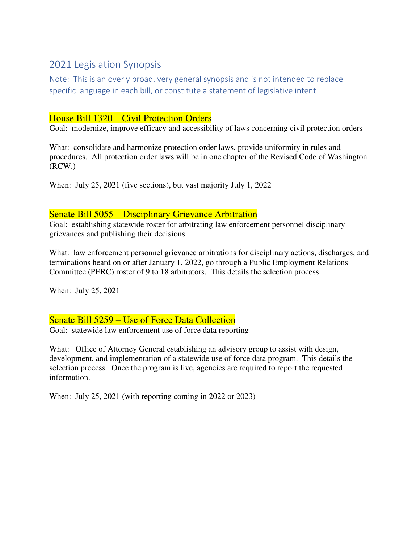# 2021 Legislation Synopsis

Note: This is an overly broad, very general synopsis and is not intended to replace specific language in each bill, or constitute a statement of legislative intent

# House Bill 1320 – Civil Protection Orders

Goal: modernize, improve efficacy and accessibility of laws concerning civil protection orders

What: consolidate and harmonize protection order laws, provide uniformity in rules and procedures. All protection order laws will be in one chapter of the Revised Code of Washington (RCW.)

When: July 25, 2021 (five sections), but vast majority July 1, 2022

## Senate Bill 5055 – Disciplinary Grievance Arbitration

Goal: establishing statewide roster for arbitrating law enforcement personnel disciplinary grievances and publishing their decisions

What: law enforcement personnel grievance arbitrations for disciplinary actions, discharges, and terminations heard on or after January 1, 2022, go through a Public Employment Relations Committee (PERC) roster of 9 to 18 arbitrators. This details the selection process.

When: July 25, 2021

## Senate Bill 5259 – Use of Force Data Collection

Goal: statewide law enforcement use of force data reporting

What: Office of Attorney General establishing an advisory group to assist with design, development, and implementation of a statewide use of force data program. This details the selection process. Once the program is live, agencies are required to report the requested information.

When: July 25, 2021 (with reporting coming in 2022 or 2023)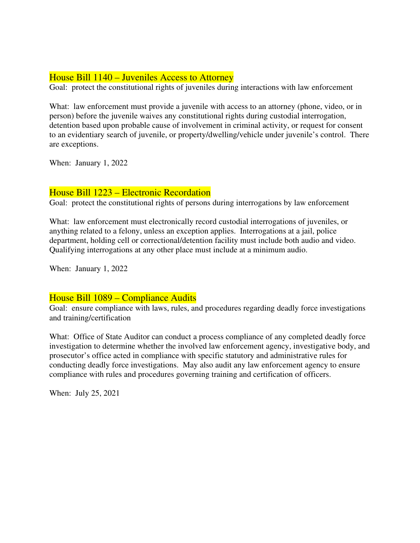## House Bill 1140 – Juveniles Access to Attorney

Goal: protect the constitutional rights of juveniles during interactions with law enforcement

What: law enforcement must provide a juvenile with access to an attorney (phone, video, or in person) before the juvenile waives any constitutional rights during custodial interrogation, detention based upon probable cause of involvement in criminal activity, or request for consent to an evidentiary search of juvenile, or property/dwelling/vehicle under juvenile's control. There are exceptions.

When: January 1, 2022

## House Bill 1223 – Electronic Recordation

Goal: protect the constitutional rights of persons during interrogations by law enforcement

What: law enforcement must electronically record custodial interrogations of juveniles, or anything related to a felony, unless an exception applies. Interrogations at a jail, police department, holding cell or correctional/detention facility must include both audio and video. Qualifying interrogations at any other place must include at a minimum audio.

When: January 1, 2022

#### House Bill 1089 – Compliance Audits

Goal: ensure compliance with laws, rules, and procedures regarding deadly force investigations and training/certification

What: Office of State Auditor can conduct a process compliance of any completed deadly force investigation to determine whether the involved law enforcement agency, investigative body, and prosecutor's office acted in compliance with specific statutory and administrative rules for conducting deadly force investigations. May also audit any law enforcement agency to ensure compliance with rules and procedures governing training and certification of officers.

When: July 25, 2021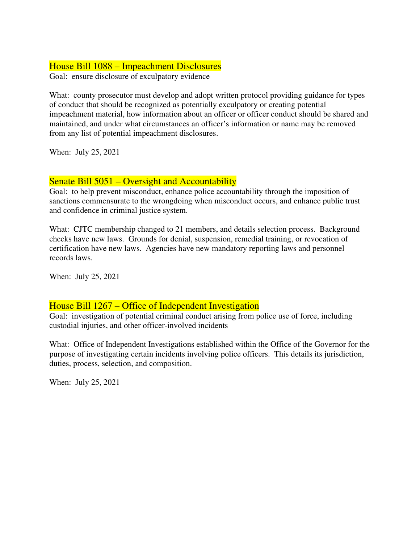## House Bill 1088 – Impeachment Disclosures

Goal: ensure disclosure of exculpatory evidence

What: county prosecutor must develop and adopt written protocol providing guidance for types of conduct that should be recognized as potentially exculpatory or creating potential impeachment material, how information about an officer or officer conduct should be shared and maintained, and under what circumstances an officer's information or name may be removed from any list of potential impeachment disclosures.

When: July 25, 2021

## Senate Bill 5051 – Oversight and Accountability

Goal: to help prevent misconduct, enhance police accountability through the imposition of sanctions commensurate to the wrongdoing when misconduct occurs, and enhance public trust and confidence in criminal justice system.

What: CJTC membership changed to 21 members, and details selection process. Background checks have new laws. Grounds for denial, suspension, remedial training, or revocation of certification have new laws. Agencies have new mandatory reporting laws and personnel records laws.

When: July 25, 2021

## House Bill 1267 – Office of Independent Investigation

Goal: investigation of potential criminal conduct arising from police use of force, including custodial injuries, and other officer-involved incidents

What: Office of Independent Investigations established within the Office of the Governor for the purpose of investigating certain incidents involving police officers. This details its jurisdiction, duties, process, selection, and composition.

When: July 25, 2021